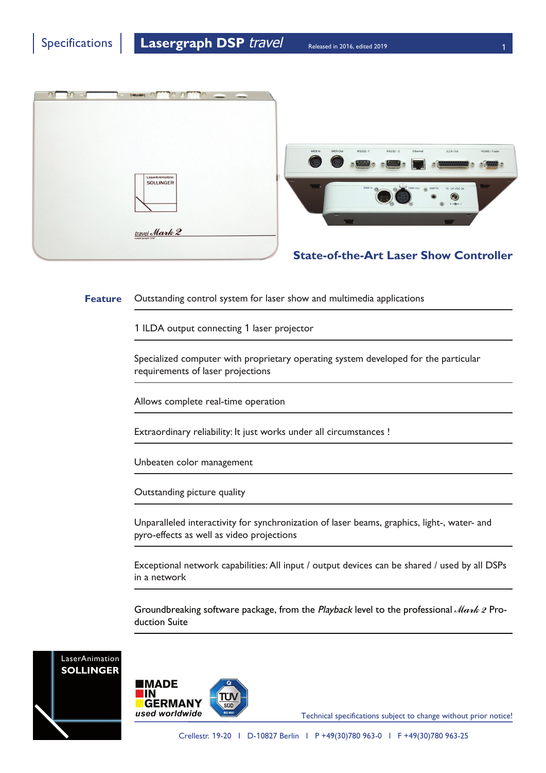



**Feature** Outstanding control system for laser show and multimedia applications

1 ILDA output connecting 1 laser projector

Specialized computer with proprietary operating system developed for the particular requirements of laser projections

Allows complete real-time operation

Extraordinary reliability: It just works under all circumstances !

Unbeaten color management

Outstanding picture quality

Unparalleled interactivity for synchronization of laser beams, graphics, light-, water- and pyro-effects as well as video projections

Exceptional network capabilities: All input / output devices can be shared / used by all DSPs in a network

Groundbreaking software package, from the Playback level to the professional  $\text{Mark2}$  Production Suite





Technical specifications subject to change without prior notice!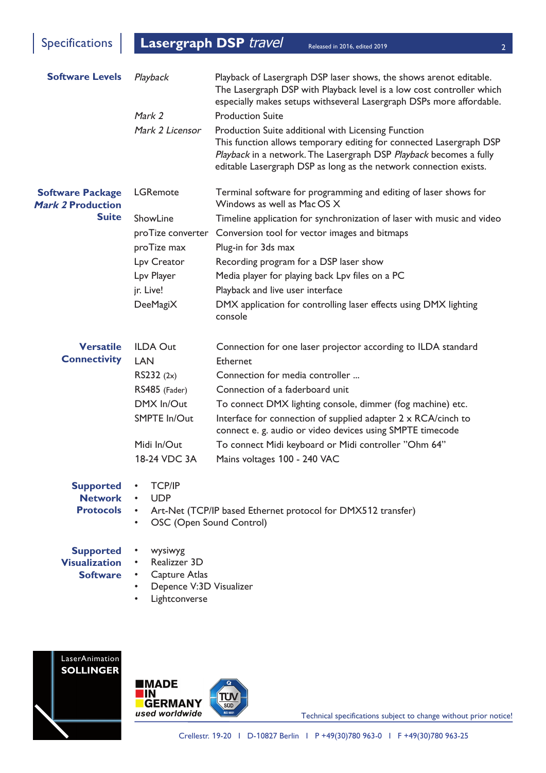Specifications **Lasergraph DSP** *travel* Released in 2016, edited 2019

Released in 2016, edited 2019

| <b>Software Levels</b>                                              | Playback<br>Mark 2                                                                             | Playback of Lasergraph DSP laser shows, the shows arenot editable.<br>The Lasergraph DSP with Playback level is a low cost controller which<br>especially makes setups withseveral Lasergraph DSPs more affordable.<br><b>Production Suite</b>                        |
|---------------------------------------------------------------------|------------------------------------------------------------------------------------------------|-----------------------------------------------------------------------------------------------------------------------------------------------------------------------------------------------------------------------------------------------------------------------|
|                                                                     | Mark 2 Licensor                                                                                | Production Suite additional with Licensing Function<br>This function allows temporary editing for connected Lasergraph DSP<br>Playback in a network. The Lasergraph DSP Playback becomes a fully<br>editable Lasergraph DSP as long as the network connection exists. |
| <b>Software Package</b><br><b>Mark 2 Production</b><br><b>Suite</b> | <b>LGRemote</b>                                                                                | Terminal software for programming and editing of laser shows for<br>Windows as well as Mac OS X                                                                                                                                                                       |
|                                                                     | ShowLine                                                                                       | Timeline application for synchronization of laser with music and video                                                                                                                                                                                                |
|                                                                     | proTize converter                                                                              | Conversion tool for vector images and bitmaps                                                                                                                                                                                                                         |
|                                                                     | proTize max                                                                                    | Plug-in for 3ds max                                                                                                                                                                                                                                                   |
|                                                                     | Lpv Creator                                                                                    | Recording program for a DSP laser show                                                                                                                                                                                                                                |
|                                                                     | Lpv Player                                                                                     | Media player for playing back Lpv files on a PC                                                                                                                                                                                                                       |
|                                                                     | jr. Live!                                                                                      | Playback and live user interface                                                                                                                                                                                                                                      |
|                                                                     | DeeMagiX                                                                                       | DMX application for controlling laser effects using DMX lighting<br>console                                                                                                                                                                                           |
| <b>Versatile</b>                                                    | <b>ILDA Out</b>                                                                                | Connection for one laser projector according to ILDA standard                                                                                                                                                                                                         |
| <b>Connectivity</b>                                                 | LAN                                                                                            | <b>Ethernet</b>                                                                                                                                                                                                                                                       |
|                                                                     | RS232 (2x)                                                                                     | Connection for media controller                                                                                                                                                                                                                                       |
|                                                                     | RS485 (Fader)                                                                                  | Connection of a faderboard unit                                                                                                                                                                                                                                       |
|                                                                     | DMX In/Out                                                                                     | To connect DMX lighting console, dimmer (fog machine) etc.                                                                                                                                                                                                            |
|                                                                     | SMPTE In/Out                                                                                   | Interface for connection of supplied adapter 2 x RCA/cinch to<br>connect e. g. audio or video devices using SMPTE timecode                                                                                                                                            |
|                                                                     | Midi In/Out                                                                                    | To connect Midi keyboard or Midi controller "Ohm 64"                                                                                                                                                                                                                  |
|                                                                     | 18-24 VDC 3A                                                                                   | Mains voltages 100 - 240 VAC                                                                                                                                                                                                                                          |
| <b>Supported</b><br><b>Network</b><br><b>Protocols</b>              | <b>TCP/IP</b><br><b>UDP</b><br>$\bullet$<br>$\bullet$<br>OSC (Open Sound Control)<br>$\bullet$ | Art-Net (TCP/IP based Ethernet protocol for DMX512 transfer)                                                                                                                                                                                                          |
|                                                                     |                                                                                                |                                                                                                                                                                                                                                                                       |
| <b>Supported</b>                                                    | wysiwyg                                                                                        |                                                                                                                                                                                                                                                                       |
| <b>Visualization</b><br><b>Software</b>                             | Realizzer 3D<br>Capture Atlas<br>$\bullet$ .                                                   |                                                                                                                                                                                                                                                                       |
|                                                                     | Depence V:3D Visualizer                                                                        |                                                                                                                                                                                                                                                                       |
|                                                                     | Lightconverse<br>$\bullet$                                                                     |                                                                                                                                                                                                                                                                       |
|                                                                     |                                                                                                |                                                                                                                                                                                                                                                                       |





Technical specifications subject to change without prior notice!